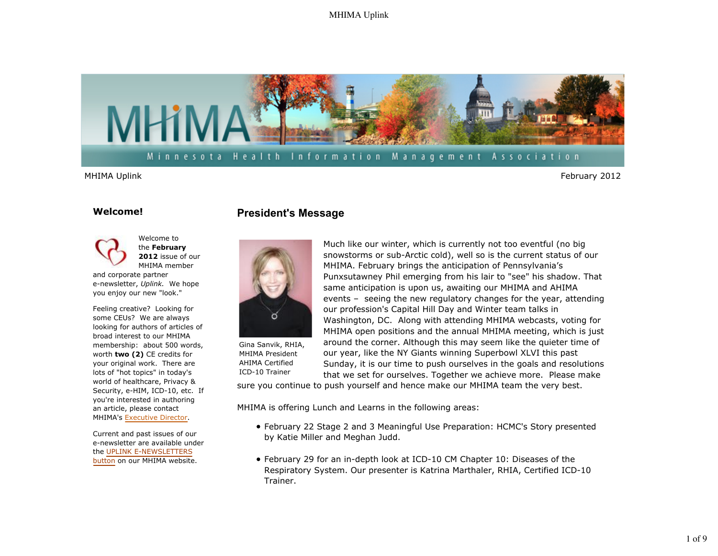## MHIMA Uplink



## Minnesota Health Information Management Association

MHIMA Uplink February 2012

### **Welcome!**



Feeling creative? Looking for some CEUs? We are always looking for authors of articles of broad interest to our MHIMA membership: about 500 words, worth **two (2)** CE credits for your original work. There are lots of "hot topics" in today's world of healthcare, Privacy & Security, e-HIM, ICD-10, etc. If you're interested in authoring an article, please contact MHIMA's Executive Director.

Current and past issues of our e-newsletter are available under the UPLINK E-NEWSLETTERS button on our MHIMA website.

## **President's Message**



Gina Sanvik, RHIA, MHIMA President AHIMA Certified ICD-10 Trainer

Much like our winter, which is currently not too eventful (no big snowstorms or sub-Arctic cold), well so is the current status of our MHIMA. February brings the anticipation of Pennsylvania's Punxsutawney Phil emerging from his lair to "see" his shadow. That same anticipation is upon us, awaiting our MHIMA and AHIMA events – seeing the new regulatory changes for the year, attending our profession's Capital Hill Day and Winter team talks in Washington, DC. Along with attending MHIMA webcasts, voting for MHIMA open positions and the annual MHIMA meeting, which is just around the corner. Although this may seem like the quieter time of our year, like the NY Giants winning Superbowl XLVI this past Sunday, it is our time to push ourselves in the goals and resolutions that we set for ourselves. Together we achieve more. Please make

sure you continue to push yourself and hence make our MHIMA team the very best.

MHIMA is offering Lunch and Learns in the following areas:

- February 22 Stage 2 and 3 Meaningful Use Preparation: HCMC's Story presented by Katie Miller and Meghan Judd.
- February 29 for an in-depth look at ICD-10 CM Chapter 10: Diseases of the Respiratory System. Our presenter is Katrina Marthaler, RHIA, Certified ICD-10 Trainer.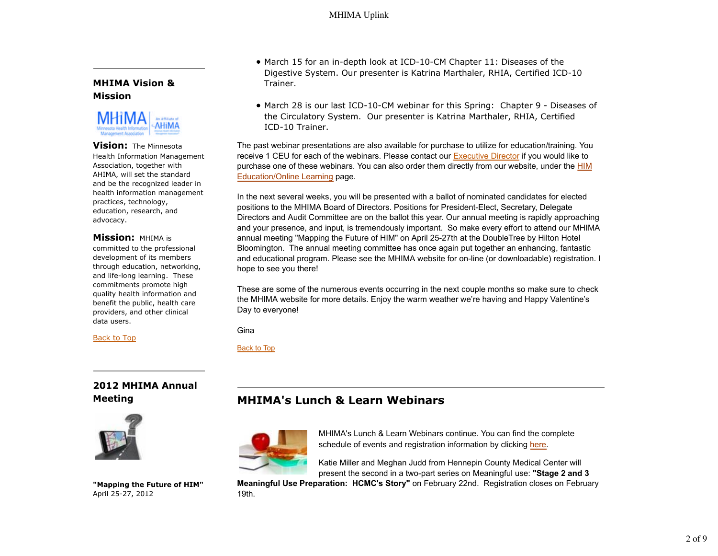## **MHIMA Vision & Mission**



**Vision:** The Minnesota Health Information Management Association, together with AHIMA, will set the standard and be the recognized leader in health information management practices, technology, education, research, and advocacy.

## **Mission:** MHIMA is

committed to the professional development of its members through education, networking, and life-long learning. These commitments promote high quality health information and benefit the public, health care providers, and other clinical data users.

### Back to Top

# **2012 MHIMA Annual Meeting**



**"Mapping the Future of HIM"** April 25-27, 2012

- March 15 for an in-depth look at ICD-10-CM Chapter 11: Diseases of the Digestive System. Our presenter is Katrina Marthaler, RHIA, Certified ICD-10 Trainer.
- March 28 is our last ICD-10-CM webinar for this Spring: Chapter 9 Diseases of the Circulatory System. Our presenter is Katrina Marthaler, RHIA, Certified ICD-10 Trainer.

The past webinar presentations are also available for purchase to utilize for education/training. You receive 1 CEU for each of the webinars. Please contact our Executive Director if you would like to purchase one of these webinars. You can also order them directly from our website, under the HIM Education/Online Learning page.

In the next several weeks, you will be presented with a ballot of nominated candidates for elected positions to the MHIMA Board of Directors. Positions for President-Elect, Secretary, Delegate Directors and Audit Committee are on the ballot this year. Our annual meeting is rapidly approaching and your presence, and input, is tremendously important. So make every effort to attend our MHIMA annual meeting "Mapping the Future of HIM" on April 25-27th at the DoubleTree by Hilton Hotel Bloomington. The annual meeting committee has once again put together an enhancing, fantastic and educational program. Please see the MHIMA website for on-line (or downloadable) registration. I hope to see you there!

These are some of the numerous events occurring in the next couple months so make sure to check the MHIMA website for more details. Enjoy the warm weather we're having and Happy Valentine's Day to everyone!

Gina

Back to Top

# **MHIMA's Lunch & Learn Webinars**



MHIMA's Lunch & Learn Webinars continue. You can find the complete schedule of events and registration information by clicking here.

Katie Miller and Meghan Judd from Hennepin County Medical Center will present the second in a two-part series on Meaningful use: **"Stage 2 and 3**

**Meaningful Use Preparation: HCMC's Story"** on February 22nd. Registration closes on February 19th.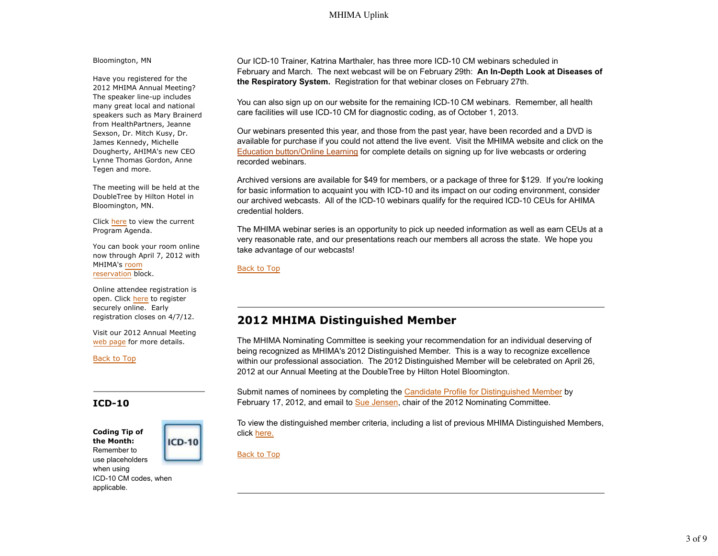## MHIMA Uplink

Bloomington, MN

Have you registered for the 2012 MHIMA Annual Meeting? The speaker line-up includes many great local and national speakers such as Mary Brainerd from HealthPartners, Jeanne Sexson, Dr. Mitch Kusy, Dr. James Kennedy, Michelle Dougherty, AHIMA's new CEO Lynne Thomas Gordon, Anne Tegen and more.

The meeting will be held at the DoubleTree by Hilton Hotel in Bloomington, MN.

Click here to view the current Program Agenda.

You can book your room online now through April 7, 2012 with MHIMA's room reservation block.

Online attendee registration is open. Click here to register securely online. Early registration closes on 4/7/12.

Visit our 2012 Annual Meeting web page for more details.

Back to Top

## **ICD-10**

applicable.

**Coding Tip of the Month:** Remember to use placeholders when using ICD-10 CM codes, when

**ICD-10** 

Our ICD-10 Trainer, Katrina Marthaler, has three more ICD-10 CM webinars scheduled in February and March. The next webcast will be on February 29th: **An In-Depth Look at Diseases of the Respiratory System.** Registration for that webinar closes on February 27th.

You can also sign up on our website for the remaining ICD-10 CM webinars. Remember, all health care facilities will use ICD-10 CM for diagnostic coding, as of October 1, 2013.

Our webinars presented this year, and those from the past year, have been recorded and a DVD is available for purchase if you could not attend the live event. Visit the MHIMA website and click on the Education button/Online Learning for complete details on signing up for live webcasts or ordering recorded webinars.

Archived versions are available for \$49 for members, or a package of three for \$129. If you're looking for basic information to acquaint you with ICD-10 and its impact on our coding environment, consider our archived webcasts. All of the ICD-10 webinars qualify for the required ICD-10 CEUs for AHIMA credential holders.

The MHIMA webinar series is an opportunity to pick up needed information as well as earn CEUs at a very reasonable rate, and our presentations reach our members all across the state. We hope you take advantage of our webcasts!

Back to Top

# **2012 MHIMA Distinguished Member**

The MHIMA Nominating Committee is seeking your recommendation for an individual deserving of being recognized as MHIMA's 2012 Distinguished Member. This is a way to recognize excellence within our professional association. The 2012 Distinguished Member will be celebrated on April 26, 2012 at our Annual Meeting at the DoubleTree by Hilton Hotel Bloomington.

Submit names of nominees by completing the Candidate Profile for Distinguished Member by February 17, 2012, and email to Sue Jensen, chair of the 2012 Nominating Committee.

To view the distinguished member criteria, including a list of previous MHIMA Distinguished Members, click here.

Back to Top

3 of 9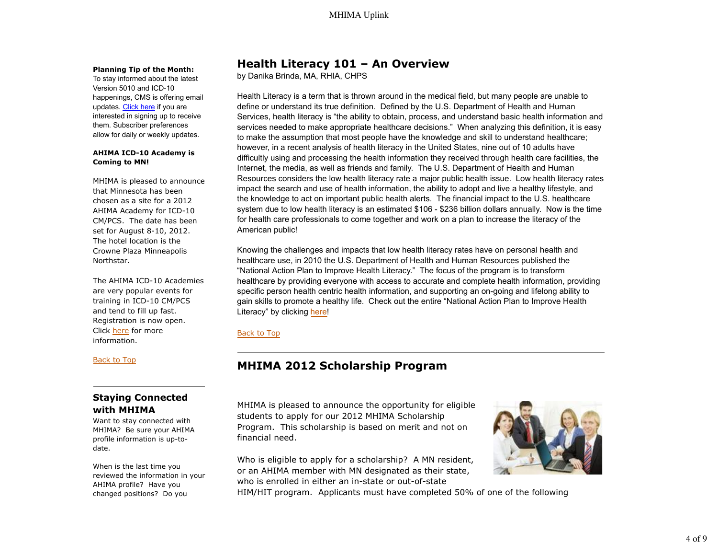### **Planning Tip of the Month:**

To stay informed about the latest Version 5010 and ICD-10 happenings, CMS is offering email updates. Click here if you are interested in signing up to receive them. Subscriber preferences allow for daily or weekly updates.

### **AHIMA ICD-10 Academy is Coming to MN!**

MHIMA is pleased to announce that Minnesota has been chosen as a site for a 2012 AHIMA Academy for ICD-10 CM/PCS. The date has been set for August 8-10, 2012. The hotel location is the Crowne Plaza Minneapolis Northstar.

The AHIMA ICD-10 Academies are very popular events for training in ICD-10 CM/PCS and tend to fill up fast. Registration is now open. Click here for more information.

### Back to Top

## **Staying Connected with MHIMA**

Want to stay connected with MHIMA? Be sure your AHIMA profile information is up-todate.

When is the last time you reviewed the information in your AHIMA profile? Have you changed positions? Do you

# **Health Literacy 101 – An Overview**

by Danika Brinda, MA, RHIA, CHPS

Health Literacy is a term that is thrown around in the medical field, but many people are unable to define or understand its true definition. Defined by the U.S. Department of Health and Human Services, health literacy is "the ability to obtain, process, and understand basic health information and services needed to make appropriate healthcare decisions." When analyzing this definition, it is easy to make the assumption that most people have the knowledge and skill to understand healthcare; however, in a recent analysis of health literacy in the United States, nine out of 10 adults have difficultly using and processing the health information they received through health care facilities, the Internet, the media, as well as friends and family. The U.S. Department of Health and Human Resources considers the low health literacy rate a major public health issue. Low health literacy rates impact the search and use of health information, the ability to adopt and live a healthy lifestyle, and the knowledge to act on important public health alerts. The financial impact to the U.S. healthcare system due to low health literacy is an estimated \$106 - \$236 billion dollars annually. Now is the time for health care professionals to come together and work on a plan to increase the literacy of the American public!

Knowing the challenges and impacts that low health literacy rates have on personal health and healthcare use, in 2010 the U.S. Department of Health and Human Resources published the "National Action Plan to Improve Health Literacy." The focus of the program is to transform healthcare by providing everyone with access to accurate and complete health information, providing specific person health centric health information, and supporting an on-going and lifelong ability to gain skills to promote a healthy life. Check out the entire "National Action Plan to Improve Health Literacy" by clicking here!

## Back to Top

# **MHIMA 2012 Scholarship Program**

MHIMA is pleased to announce the opportunity for eligible students to apply for our 2012 MHIMA Scholarship Program. This scholarship is based on merit and not on financial need.

Who is eligible to apply for a scholarship? A MN resident, or an AHIMA member with MN designated as their state, who is enrolled in either an in-state or out-of-state

HIM/HIT program. Applicants must have completed 50% of one of the following

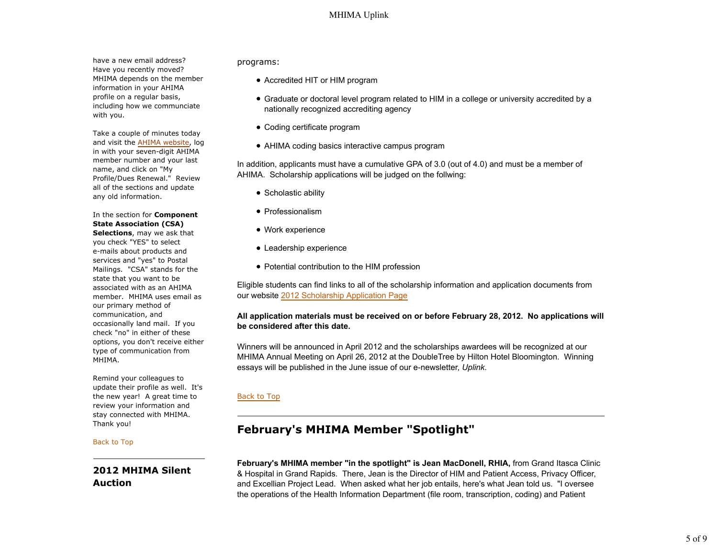have a new email address? Have you recently moved? MHIMA depends on the member information in your AHIMA profile on a regular basis, including how we communciate with you.

Take a couple of minutes today and visit the AHIMA website, log in with your seven-digit AHIMA member number and your last name, and click on "My Profile/Dues Renewal." Review all of the sections and update any old information.

In the section for **Component State Association (CSA) Selections**, may we ask that you check "YES" to select e-mails about products and services and "yes" to Postal Mailings. "CSA" stands for the state that you want to be associated with as an AHIMA member. MHIMA uses email as our primary method of communication, and occasionally land mail. If you check "no" in either of these options, you don't receive either type of communication from MHIMA.

Remind your colleagues to update their profile as well. It's the new year! A great time to review your information and stay connected with MHIMA. Thank you!

#### Back to Top

**2012 MHIMA Silent Auction**

programs:

- Accredited HIT or HIM program
- Graduate or doctoral level program related to HIM in a college or university accredited by a nationally recognized accrediting agency
- Coding certificate program
- AHIMA coding basics interactive campus program

In addition, applicants must have a cumulative GPA of 3.0 (out of 4.0) and must be a member of AHIMA. Scholarship applications will be judged on the follwing:

- Scholastic ability
- Professionalism
- Work experience
- Leadership experience
- Potential contribution to the HIM profession

Eligible students can find links to all of the scholarship information and application documents from our website 2012 Scholarship Application Page

### **All application materials must be received on or before February 28, 2012. No applications will be considered after this date.**

Winners will be announced in April 2012 and the scholarships awardees will be recognized at our MHIMA Annual Meeting on April 26, 2012 at the DoubleTree by Hilton Hotel Bloomington. Winning essays will be published in the June issue of our e-newsletter, *Uplink*.

### Back to Top

# **February's MHIMA Member "Spotlight"**

**February's MHIMA member "in the spotlight" is Jean MacDonell, RHIA,** from Grand Itasca Clinic & Hospital in Grand Rapids. There, Jean is the Director of HIM and Patient Access, Privacy Officer, and Excellian Project Lead. When asked what her job entails, here's what Jean told us. "I oversee the operations of the Health Information Department (file room, transcription, coding) and Patient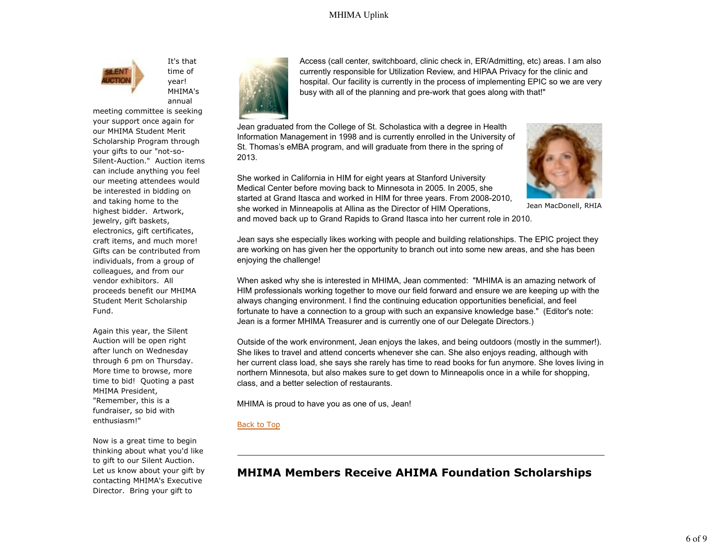

It's that time of year! MHIMA's annual

meeting committee is seeking your support once again for our MHIMA Student Merit Scholarship Program through your gifts to our "not-so-Silent-Auction." Auction items can include anything you feel our meeting attendees would be interested in bidding on and taking home to the highest bidder. Artwork, jewelry, gift baskets, electronics, gift certificates, craft items, and much more! Gifts can be contributed from individuals, from a group of colleagues, and from our vendor exhibitors. All proceeds benefit our MHIMA Student Merit Scholarship Fund.

Again this year, the Silent Auction will be open right after lunch on Wednesday through 6 pm on Thursday. More time to browse, more time to bid! Quoting a past MHIMA President, "Remember, this is a fundraiser, so bid with enthusiasm!"

Now is a great time to begin thinking about what you'd like to gift to our Silent Auction. Let us know about your gift by contacting MHIMA's Executive Director. Bring your gift to



Access (call center, switchboard, clinic check in, ER/Admitting, etc) areas. I am also currently responsible for Utilization Review, and HIPAA Privacy for the clinic and hospital. Our facility is currently in the process of implementing EPIC so we are very busy with all of the planning and pre-work that goes along with that!"

Jean graduated from the College of St. Scholastica with a degree in Health Information Management in 1998 and is currently enrolled in the University of St. Thomas's eMBA program, and will graduate from there in the spring of 2013.

She worked in California in HIM for eight years at Stanford University Medical Center before moving back to Minnesota in 2005. In 2005, she started at Grand Itasca and worked in HIM for three years. From 2008-2010, she worked in Minneapolis at Allina as the Director of HIM Operations,



Jean MacDonell, RHIA

and moved back up to Grand Rapids to Grand Itasca into her current role in 2010.

Jean says she especially likes working with people and building relationships. The EPIC project they are working on has given her the opportunity to branch out into some new areas, and she has been enjoying the challenge!

When asked why she is interested in MHIMA, Jean commented: "MHIMA is an amazing network of HIM professionals working together to move our field forward and ensure we are keeping up with the always changing environment. I find the continuing education opportunities beneficial, and feel fortunate to have a connection to a group with such an expansive knowledge base." (Editor's note: Jean is a former MHIMA Treasurer and is currently one of our Delegate Directors.)

Outside of the work environment, Jean enjoys the lakes, and being outdoors (mostly in the summer!). She likes to travel and attend concerts whenever she can. She also enjoys reading, although with her current class load, she says she rarely has time to read books for fun anymore. She loves living in northern Minnesota, but also makes sure to get down to Minneapolis once in a while for shopping, class, and a better selection of restaurants.

MHIMA is proud to have you as one of us, Jean!

### Back to Top

# **MHIMA Members Receive AHIMA Foundation Scholarships**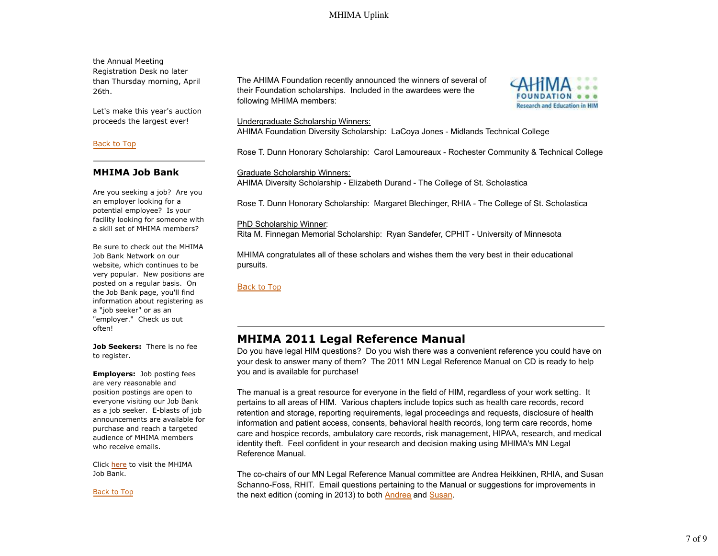the Annual Meeting Registration Desk no later than Thursday morning, April 26th.

Let's make this year's auction proceeds the largest ever!

### Back to Top

## **MHIMA Job Bank**

Are you seeking a job? Are you an employer looking for a potential employee? Is your facility looking for someone with a skill set of MHIMA members?

Be sure to check out the MHIMA Job Bank Network on our website, which continues to be very popular. New positions are posted on a regular basis. On the Job Bank page, you'll find information about registering as a "job seeker" or as an "employer." Check us out often!

**Job Seekers:** There is no fee to register.

**Employers:** Job posting fees are very reasonable and position postings are open to everyone visiting our Job Bank as a job seeker. E-blasts of job announcements are available for purchase and reach a targeted audience of MHIMA members who receive emails.

Click here to visit the MHIMA Job Bank.

Back to Top

The AHIMA Foundation recently announced the winners of several of their Foundation scholarships. Included in the awardees were the following MHIMA members:



### Undergraduate Scholarship Winners:

AHIMA Foundation Diversity Scholarship: LaCoya Jones - Midlands Technical College

Rose T. Dunn Honorary Scholarship: Carol Lamoureaux - Rochester Community & Technical College

Graduate Scholarship Winners: AHIMA Diversity Scholarship - Elizabeth Durand - The College of St. Scholastica

Rose T. Dunn Honorary Scholarship: Margaret Blechinger, RHIA - The College of St. Scholastica

PhD Scholarship Winner:

Rita M. Finnegan Memorial Scholarship: Ryan Sandefer, CPHIT - University of Minnesota

MHIMA congratulates all of these scholars and wishes them the very best in their educational pursuits.

Back to Top

# **MHIMA 2011 Legal Reference Manual**

Do you have legal HIM questions? Do you wish there was a convenient reference you could have on your desk to answer many of them? The 2011 MN Legal Reference Manual on CD is ready to help you and is available for purchase!

The manual is a great resource for everyone in the field of HIM, regardless of your work setting. It pertains to all areas of HIM. Various chapters include topics such as health care records, record retention and storage, reporting requirements, legal proceedings and requests, disclosure of health information and patient access, consents, behavioral health records, long term care records, home care and hospice records, ambulatory care records, risk management, HIPAA, research, and medical identity theft. Feel confident in your research and decision making using MHIMA's MN Legal Reference Manual.

The co-chairs of our MN Legal Reference Manual committee are Andrea Heikkinen, RHIA, and Susan Schanno-Foss, RHIT. Email questions pertaining to the Manual or suggestions for improvements in the next edition (coming in 2013) to both **Andrea** and Susan.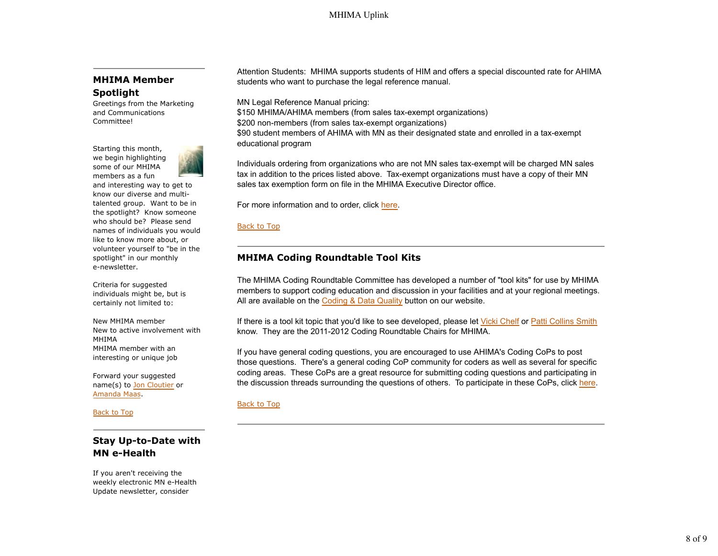## **MHIMA Member Spotlight**

Greetings from the Marketing and Communications Committee!

Starting this month, we begin highlighting some of our MHIMA members as a fun



and interesting way to get to know our diverse and multitalented group. Want to be in the spotlight? Know someone who should be? Please send names of individuals you would like to know more about, or volunteer yourself to "be in the spotlight" in our monthly e-newsletter.

Criteria for suggested individuals might be, but is certainly not limited to:

New MHIMA member New to active involvement with MHIMA MHIMA member with an interesting or unique job

Forward your suggested name(s) to Jon Cloutier or Amanda Maas.

Back to Top

## **Stay Up-to-Date with MN e-Health**

If you aren't receiving the weekly electronic MN e-Health Update newsletter, consider

Attention Students: MHIMA supports students of HIM and offers a special discounted rate for AHIMA students who want to purchase the legal reference manual.

MN Legal Reference Manual pricing:

\$150 MHIMA/AHIMA members (from sales tax-exempt organizations) \$200 non-members (from sales tax-exempt organizations) \$90 student members of AHIMA with MN as their designated state and enrolled in a tax-exempt educational program

Individuals ordering from organizations who are not MN sales tax-exempt will be charged MN sales tax in addition to the prices listed above. Tax-exempt organizations must have a copy of their MN sales tax exemption form on file in the MHIMA Executive Director office.

For more information and to order, click here.

Back to Top

## **MHIMA Coding Roundtable Tool Kits**

The MHIMA Coding Roundtable Committee has developed a number of "tool kits" for use by MHIMA members to support coding education and discussion in your facilities and at your regional meetings. All are available on the Coding & Data Quality button on our website.

If there is a tool kit topic that you'd like to see developed, please let Vicki Chelf or Patti Collins Smith know. They are the 2011-2012 Coding Roundtable Chairs for MHIMA.

If you have general coding questions, you are encouraged to use AHIMA's Coding CoPs to post those questions. There's a general coding CoP community for coders as well as several for specific coding areas. These CoPs are a great resource for submitting coding questions and participating in the discussion threads surrounding the questions of others. To participate in these CoPs, click here.

### Back to Top